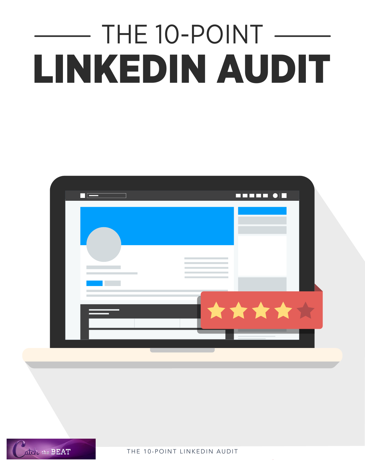# THE 10-POINT -LINKEDIN AUDIT





THE 10-POINT LINKEDIN AUDIT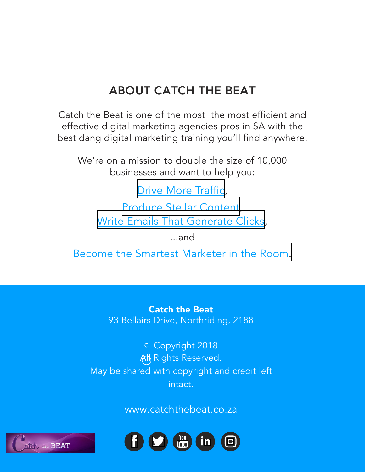## ABOUT CATCH THE BEAT

Catch the Beat is one of the most the most efficient and effective digital marketing agencies pros in SA with the best dang digital marketing training you'll find anywhere.

We're on a mission to double the size of 10,000 businesses and want to help you:

D[rive More Traffic](http://www.catchthebeat.co.za/blog/),

[Produce Stellar Content](http://www.catchthebeat.co.za/blog/), Write [Emails That Generate Clicks](http://www.catchthebeat.co.za/blog/),

...and

[Become the Smartest Marketer in the Room.](http://www.catchthebeat.co.za/blog/)

Catch the Beat 93 Bellairs Drive, Northriding, 2188

c Copyright 2018 All Rights Reserved. May be shared with copyright and credit left intact.

www.catchthebeat.co.za



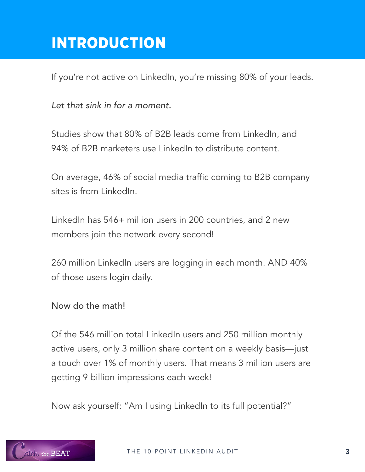# INTRODUCTION

If you're not active on LinkedIn, you're missing 80% of your leads.

*Let that sink in for a moment.*

Studies show that 80% of B2B leads come from LinkedIn, and 94% of B2B marketers use LinkedIn to distribute content.

On average, 46% of social media traffic coming to B2B company sites is from LinkedIn.

LinkedIn has 546+ million users in 200 countries, and 2 new members join the network every second!

260 million LinkedIn users are logging in each month. AND 40% of those users login daily.

Now do the math!

Of the 546 million total LinkedIn users and 250 million monthly active users, only 3 million share content on a weekly basis—just a touch over 1% of monthly users. That means 3 million users are getting 9 billion impressions each week!

Now ask yourself: "Am I using LinkedIn to its full potential?"

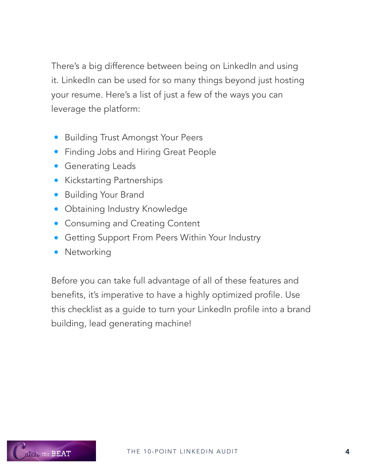There's a big difference between being on LinkedIn and using it. LinkedIn can be used for so many things beyond just hosting your resume. Here's a list of just a few of the ways you can leverage the platform:

- **Building Trust Amongst Your Peers**
- **Finding Jobs and Hiring Great People**
- **Generating Leads**
- **•** Kickstarting Partnerships
- Building Your Brand
- **Obtaining Industry Knowledge**
- **Consuming and Creating Content**
- Getting Support From Peers Within Your Industry
- Networking

Before you can take full advantage of all of these features and benefits, it's imperative to have a highly optimized profile. Use this checklist as a guide to turn your LinkedIn profile into a brand building, lead generating machine!

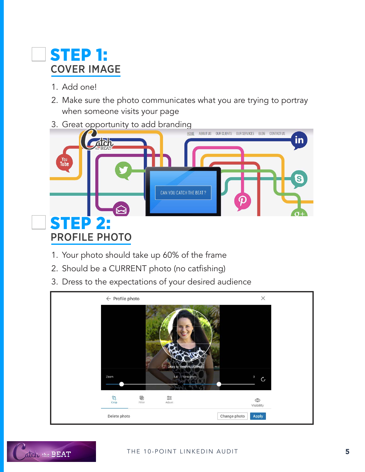# STEP 1: COVER IMAGE

- 1. Add one!
- 2. Make sure the photo communicates what you are trying to portray when someone visits your page
- 3. Great opportunity to add branding



- 1. Your photo should take up 60% of the frame
- 2. Should be a CURRENT photo (no catfishing)
- 3. Dress to the expectations of your desired audience



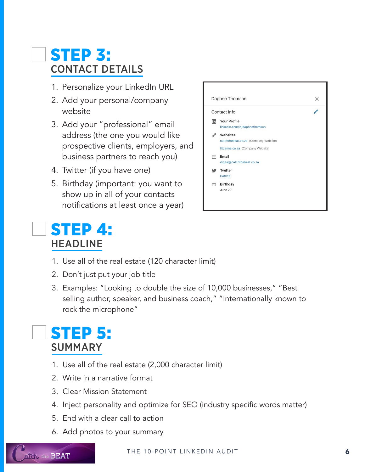# STEP 3: CONTACT DETAILS

- 1. Personalize your LinkedIn URL
- 2. Add your personal/company website
- 3. Add your "professional" email address (the one you would like prospective clients, employers, and business partners to reach you)
- 4. Twitter (if you have one)
- 5. Birthday (important: you want to show up in all of your contacts notifications at least once a year)

# STEP 4: HEADLINE

- 1. Use all of the real estate (120 character limit)
- 2. Don't just put your job title
- 3. Examples: "Looking to double the size of 10,000 businesses," "Best selling author, speaker, and business coach," "Internationally known to rock the microphone"

# STEP 5: SUMMARY

- 1. Use all of the real estate (2,000 character limit)
- 2. Write in a narrative format
- 3. Clear Mission Statement
- 4. Inject personality and optimize for SEO (industry specific words matter)
- 5. End with a clear call to action
- 6. Add photos to your summary

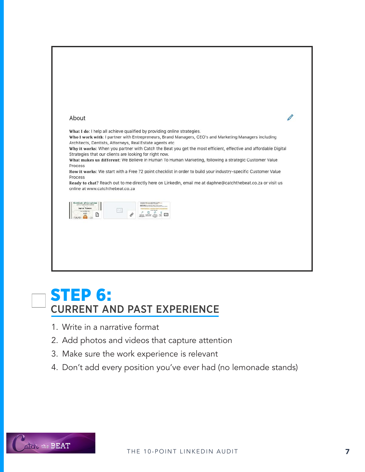

## STEP 6: CURRENT AND PAST EXPERIENCE

- 1. Write in a narrative format
- 2. Add photos and videos that capture attention
- 3. Make sure the work experience is relevant
- 4. Don't add every position you've ever had (no lemonade stands)

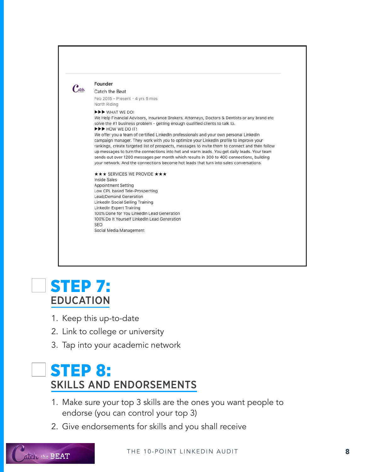

#### Founder

Catch the Beat Feb 2015 - Present  $\cdot$  4 yrs 5 mos North Riding

**IFF** WHAT WE DO!

We Help Financial Advisors, Insurance Brokers, Attorneys, Doctors & Dentists or any brand etc solve the #1 business problem - getting enough qualified clients to talk to. **EXE** HOW WE DO IT!

We offer you a team of certified LinkedIn professionals and your own personal LinkedIn campaign manager. They work with you to optimize your LinkedIn profile to improve your rankings, create targeted list of prospects, messages to invite them to connect and then follow up messages to turn the connections into hot and warm leads. You get daily leads. Your team sends out over 1200 messages per month which results in 300 to 400 connections, building your network. And the connections become hot leads that turn into sales conversations.

#### **★★★ SERVICES WE PROVIDE ★★★ Inside Sales** Appointment Setting Low CPL based Tele-Prospecting Lead/Demand Generation LinkedIn Social Selling Training **LinkedIn Expert Training** 100% Done for You LinkedIn Lead Generation 100% Do It Yourself LinkedIn Lead Generation **SEO** Social Media Management

# STEP 7: EDUCATION

- 1. Keep this up-to-date
- 2. Link to college or university
- 3. Tap into your academic network

# STEP 8: SKILLS AND ENDORSEMENTS

- 1. Make sure your top 3 skills are the ones you want people to endorse (you can control your top 3)
- 2. Give endorsements for skills and you shall receive

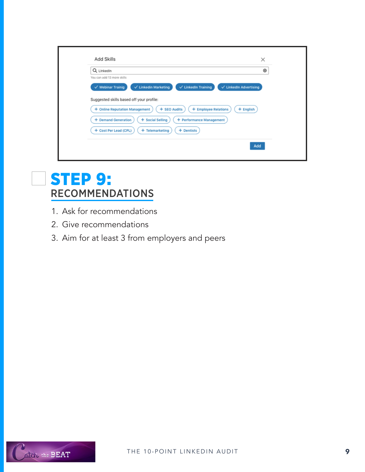| Q Linkedin                                                                                                                      | ⊛                                 |
|---------------------------------------------------------------------------------------------------------------------------------|-----------------------------------|
| You can add 13 more skills<br>$\checkmark$ LinkedIn Training<br>$\checkmark$ Webinar Trainig<br>$\checkmark$ Linkedin Marketing | $\checkmark$ LinkedIn Advertising |
| Suggested skills based off your profile:                                                                                        |                                   |
| + SEO Audits<br>+ Online Reputation Management                                                                                  | + English<br>+ Employee Relations |
| + Demand Generation<br>+ Social Selling                                                                                         | + Performance Management          |
| + Cost Per Lead (CPL)<br>+ Dentists<br>+ Telemarketing                                                                          |                                   |

# STEP 9: RECOMMENDATIONS

- 1. Ask for recommendations
- 2. Give recommendations
- 3. Aim for at least 3 from employers and peers

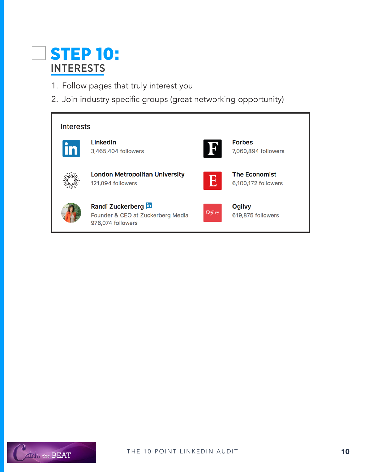# STEP 10: INTERESTS

- 1. Follow pages that truly interest you
- 2. Join industry specific groups (great networking opportunity)